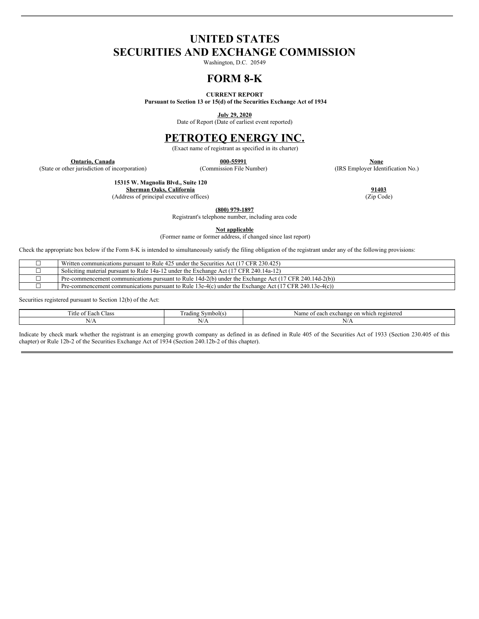# **UNITED STATES SECURITIES AND EXCHANGE COMMISSION**

Washington, D.C. 20549

# **FORM 8-K**

## **CURRENT REPORT**

**Pursuant to Section 13 or 15(d) of the Securities Exchange Act of 1934**

**July 29, 2020**

Date of Report (Date of earliest event reported)

## **PETROTEQ ENERGY INC.**

(Exact name of registrant as specified in its charter)

**Ontario, Canada 000-55991 None** (State or other jurisdiction of incorporation) (Commission File Number) (IRS Employer Identification No.)

**15315 W. Magnolia Blvd., Suite 120**

**Sherman Oaks, California 91403**

(Address of principal executive offices) (Zip Code)

**(800) 979-1897**

Registrant's telephone number, including area code

**Not applicable**

(Former name or former address, if changed since last report)

Check the appropriate box below if the Form 8-K is intended to simultaneously satisfy the filing obligation of the registrant under any of the following provisions:

| Written communications pursuant to Rule 425 under the Securities Act (17 CFR 230.425)                  |
|--------------------------------------------------------------------------------------------------------|
| Soliciting material pursuant to Rule 14a-12 under the Exchange Act (17 CFR 240.14a-12)                 |
|                                                                                                        |
| Pre-commencement communications pursuant to Rule 14d-2(b) under the Exchange Act (17 CFR 240.14d-2(b)) |

Securities registered pursuant to Section 12(b) of the Act:

| — ·<br>`itle<br>Class<br>- ^ ^ "<br>ΩĪ<br>261 | <b>Symb</b><br>201C<br>radin | on<br>Name<br>--<br>. registere<br>ı exchange<br>which<br>. Agan<br>сасн<br>,,,,,,,,, |
|-----------------------------------------------|------------------------------|---------------------------------------------------------------------------------------|
| 11/T                                          | . .<br>1.1111                | N/A<br>the contract of the contract of                                                |

Indicate by check mark whether the registrant is an emerging growth company as defined in as defined in Rule 405 of the Securities Act of 1933 (Section 230.405 of this chapter) or Rule 12b-2 of the Securities Exchange Act of 1934 (Section 240.12b-2 of this chapter).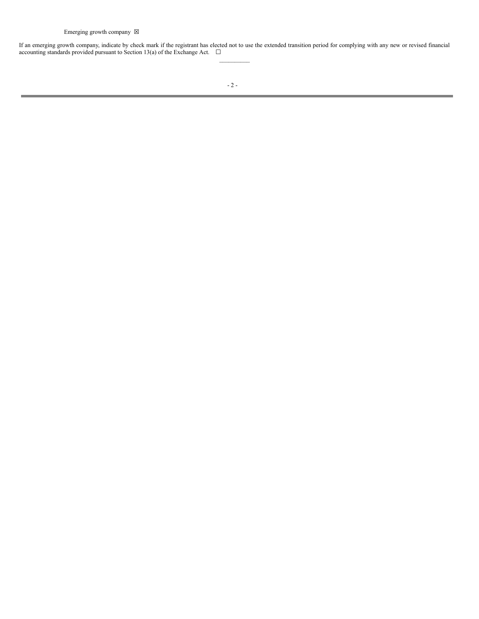If an emerging growth company, indicate by check mark if the registrant has elected not to use the extended transition period for complying with any new or revised financial accounting standards provided pursuant to Section 13(a) of the Exchange Act.  $\Box$  $\mathcal{L}_\text{max}$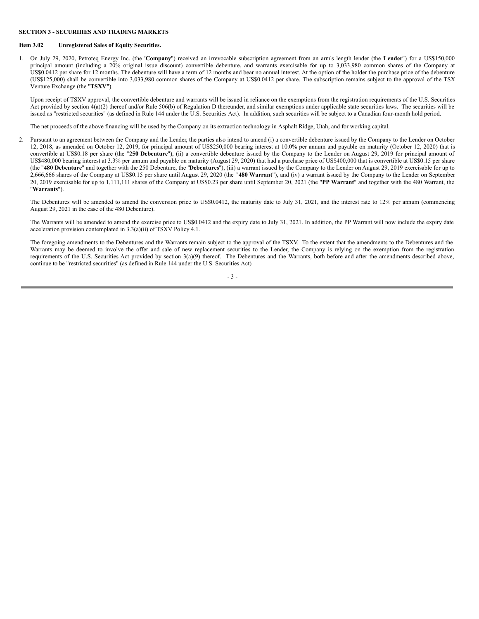#### **SECTION 3 - SECURIIIES AND TRADING MARKETS**

#### **Item 3.02 Unregistered Sales of Equity Securities.**

1. On July 29, 2020, Petroteq Energy Inc. (the "**Company**") received an irrevocable subscription agreement from an arm's length lender (the "**Lender**") for a US\$150,000 principal amount (including a 20% original issue discount) convertible debenture, and warrants exercisable for up to 3,033,980 common shares of the Company at US\$0.0412 per share for 12 months. The debenture will have a term of 12 months and bear no annual interest. At the option of the holder the purchase price of the debenture (US\$125,000) shall be convertible into 3,033,980 common shares of the Company at US\$0.0412 per share. The subscription remains subject to the approval of the TSX Venture Exchange (the "**TSXV**").

Upon receipt of TSXV approval, the convertible debenture and warrants will be issued in reliance on the exemptions from the registration requirements of the U.S. Securities Act provided by section 4(a)(2) thereof and/or Rule 506(b) of Regulation D thereunder, and similar exemptions under applicable state securities laws. The securities will be issued as "restricted securities" (as defined in Rule 144 under the U.S. Securities Act). In addition, such securities will be subject to a Canadian four-month hold period.

The net proceeds of the above financing will be used by the Company on its extraction technology in Asphalt Ridge, Utah, and for working capital.

2. Pursuant to an agreement between the Company and the Lender, the parties also intend to amend (i) a convertible debenture issued by the Company to the Lender on October 12, 2018, as amended on October 12, 2019, for principal amount of US\$250,000 bearing interest at 10.0% per annum and payable on maturity (October 12, 2020) that is convertible at US\$0.18 per share (the "**250 Debenture**"), (ii) a convertible debenture issued by the Company to the Lender on August 29, 2019 for principal amount of US\$480,000 bearing interest at 3.3% per annum and payable on maturity (August 29, 2020) that had a purchase price of US\$400,000 that is convertible at US\$0.15 per share (the "**480 Debenture**" and together with the 250 Debenture, the "**Debentures**"), (iii) a warrant issued by the Company to the Lender on August 29, 2019 exercisable for up to 2,666,666 shares of the Company at US\$0.15 per share until August 29, 2020 (the "**480 Warrant**"), and (iv) a warrant issued by the Company to the Lender on September 20, 2019 exercisable for up to 1,111,111 shares of the Company at US\$0.23 per share until September 20, 2021 (the "**PP Warrant**" and together with the 480 Warrant, the "**Warrants**").

The Debentures will be amended to amend the conversion price to US\$0.0412, the maturity date to July 31, 2021, and the interest rate to 12% per annum (commencing August 29, 2021 in the case of the 480 Debenture).

The Warrants will be amended to amend the exercise price to US\$0.0412 and the expiry date to July 31, 2021. In addition, the PP Warrant will now include the expiry date acceleration provision contemplated in 3.3(a)(ii) of TSXV Policy 4.1.

The foregoing amendments to the Debentures and the Warrants remain subject to the approval of the TSXV. To the extent that the amendments to the Debentures and the Warrants may be deemed to involve the offer and sale of new replacement securities to the Lender, the Company is relying on the exemption from the registration requirements of the U.S. Securities Act provided by section 3(a)(9) thereof. The Debentures and the Warrants, both before and after the amendments described above, continue to be "restricted securities" (as defined in Rule 144 under the U.S. Securities Act)

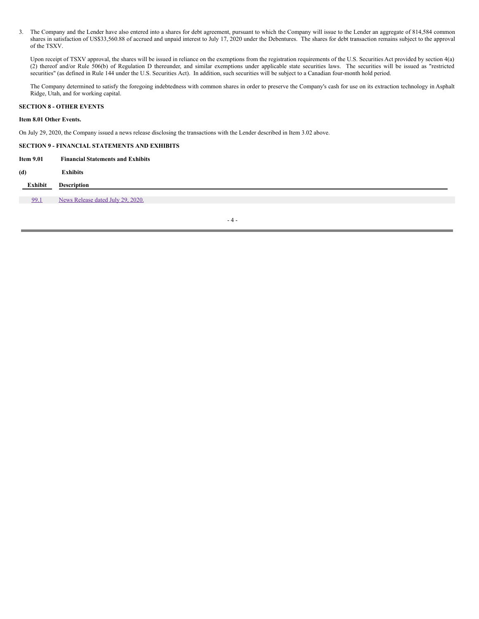3. The Company and the Lender have also entered into a shares for debt agreement, pursuant to which the Company will issue to the Lender an aggregate of 814,584 common shares in satisfaction of US\$33,560.88 of accrued and unpaid interest to July 17, 2020 under the Debentures. The shares for debt transaction remains subject to the approval of the TSXV.

Upon receipt of TSXV approval, the shares will be issued in reliance on the exemptions from the registration requirements of the U.S. Securities Act provided by section 4(a) (2) thereof and/or Rule 506(b) of Regulation D thereunder, and similar exemptions under applicable state securities laws. The securities will be issued as "restricted securities" (as defined in Rule 144 under the U.S. Securities Act). In addition, such securities will be subject to a Canadian four-month hold period.

The Company determined to satisfy the foregoing indebtedness with common shares in order to preserve the Company's cash for use on its extraction technology in Asphalt Ridge, Utah, and for working capital.

#### **SECTION 8 - OTHER EVENTS**

## **Item 8.01 Other Events.**

On July 29, 2020, the Company issued a news release disclosing the transactions with the Lender described in Item 3.02 above.

## **SECTION 9 - FINANCIAL STATEMENTS AND EXHIBITS**

| <b>Item 9.01</b> | <b>Financial Statements and Exhibits</b> |
|------------------|------------------------------------------|
| (d)              | <b>Exhibits</b>                          |
| Exhibit          | <b>Description</b>                       |
|                  |                                          |

- 4 -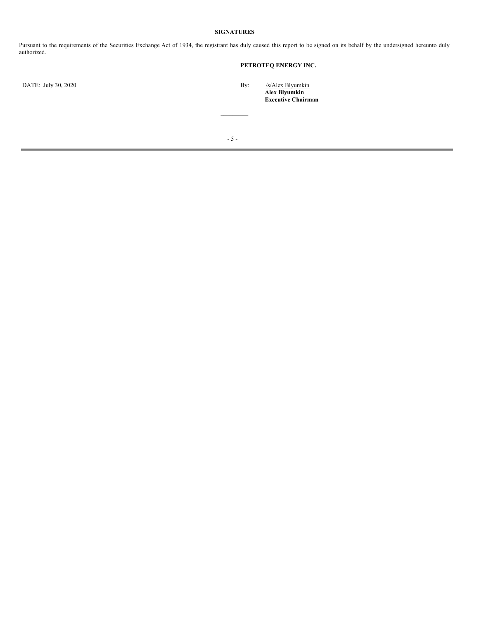## **SIGNATURES**

Pursuant to the requirements of the Securities Exchange Act of 1934, the registrant has duly caused this report to be signed on its behalf by the undersigned hereunto duly authorized.

## **PETROTEQ ENERGY INC.**

DATE: July 30, 2020  $\qquad \qquad$  By:

**Alex Blyumkin Executive Chairman**

 $\mathcal{L}=\mathcal{L}$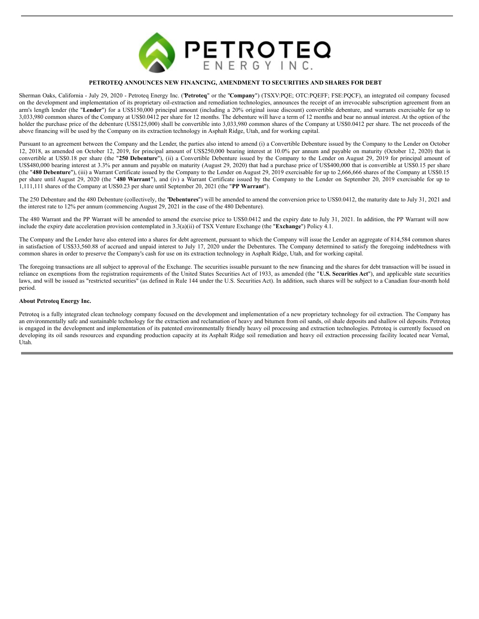

### **PETROTEQ ANNOUNCES NEW FINANCING, AMENDMENT TO SECURITIES AND SHARES FOR DEBT**

Sherman Oaks, California - July 29, 2020 - Petroteq Energy Inc. ("**Petroteq**" or the "**Company**") (TSXV:PQE; OTC:PQEFF; FSE:PQCF), an integrated oil company focused on the development and implementation of its proprietary oil-extraction and remediation technologies, announces the receipt of an irrevocable subscription agreement from an arm's length lender (the "**Lender**") for a US\$150,000 principal amount (including a 20% original issue discount) convertible debenture, and warrants exercisable for up to 3,033,980 common shares of the Company at US\$0.0412 per share for 12 months. The debenture will have a term of 12 months and bear no annual interest. At the option of the holder the purchase price of the debenture (US\$125,000) shall be convertible into 3,033,980 common shares of the Company at US\$0.0412 per share. The net proceeds of the above financing will be used by the Company on its extraction technology in Asphalt Ridge, Utah, and for working capital.

Pursuant to an agreement between the Company and the Lender, the parties also intend to amend (i) a Convertible Debenture issued by the Company to the Lender on October 12, 2018, as amended on October 12, 2019, for principal amount of US\$250,000 bearing interest at 10.0% per annum and payable on maturity (October 12, 2020) that is convertible at US\$0.18 per share (the "**250 Debenture**"), (ii) a Convertible Debenture issued by the Company to the Lender on August 29, 2019 for principal amount of US\$480,000 bearing interest at 3.3% per annum and payable on maturity (August 29, 2020) that had a purchase price of US\$400,000 that is convertible at US\$0.15 per share (the "**480 Debenture**"), (iii) a Warrant Certificate issued by the Company to the Lender on August 29, 2019 exercisable for up to 2,666,666 shares of the Company at US\$0.15 per share until August 29, 2020 (the "**480 Warrant**"), and (iv) a Warrant Certificate issued by the Company to the Lender on September 20, 2019 exercisable for up to 1,111,111 shares of the Company at US\$0.23 per share until September 20, 2021 (the "**PP Warrant**").

The 250 Debenture and the 480 Debenture (collectively, the "**Debentures**") will be amended to amend the conversion price to US\$0.0412, the maturity date to July 31, 2021 and the interest rate to 12% per annum (commencing August 29, 2021 in the case of the 480 Debenture).

The 480 Warrant and the PP Warrant will be amended to amend the exercise price to US\$0.0412 and the expiry date to July 31, 2021. In addition, the PP Warrant will now include the expiry date acceleration provision contemplated in 3.3(a)(ii) of TSX Venture Exchange (the "**Exchange**") Policy 4.1.

The Company and the Lender have also entered into a shares for debt agreement, pursuant to which the Company will issue the Lender an aggregate of 814,584 common shares in satisfaction of US\$33,560.88 of accrued and unpaid interest to July 17, 2020 under the Debentures. The Company determined to satisfy the foregoing indebtedness with common shares in order to preserve the Company's cash for use on its extraction technology in Asphalt Ridge, Utah, and for working capital.

The foregoing transactions are all subject to approval of the Exchange. The securities issuable pursuant to the new financing and the shares for debt transaction will be issued in reliance on exemptions from the registration requirements of the United States Securities Act of 1933, as amended (the "**U.S. Securities Act**"), and applicable state securities laws, and will be issued as "restricted securities" (as defined in Rule 144 under the U.S. Securities Act). In addition, such shares will be subject to a Canadian four-month hold period.

### **About Petroteq Energy Inc.**

Petroteq is a fully integrated clean technology company focused on the development and implementation of a new proprietary technology for oil extraction. The Company has an environmentally safe and sustainable technology for the extraction and reclamation of heavy and bitumen from oil sands, oil shale deposits and shallow oil deposits. Petroteq is engaged in the development and implementation of its patented environmentally friendly heavy oil processing and extraction technologies. Petroteq is currently focused on developing its oil sands resources and expanding production capacity at its Asphalt Ridge soil remediation and heavy oil extraction processing facility located near Vernal, Utah.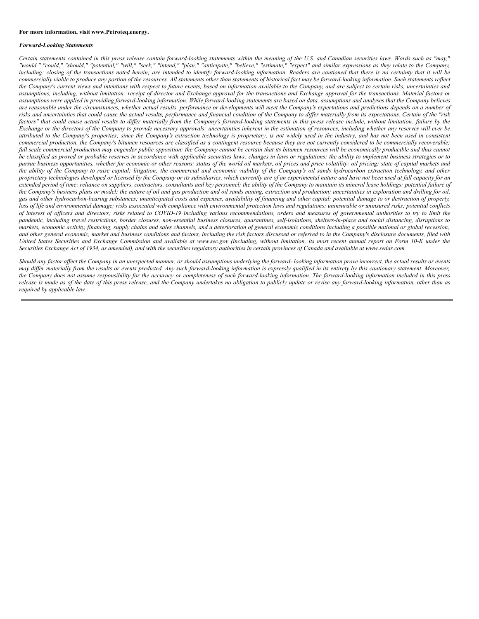#### <span id="page-6-0"></span>**For more information, visit www.Petroteq.energy.**

#### *Forward-Looking Statements*

Certain statements contained in this press release contain forward-looking statements within the meaning of the U.S. and Canadian securities laws. Words such as "may," "would," "could," "should," "potential," "will," "seek," "intend," "plan," "anticipate," "believe," "estimate," "expect" and similar expressions as they relate to the Company, including: closing of the transactions noted herein; are intended to identify forward-looking information. Readers are cautioned that there is no certainty that it will be commercially viable to produce any portion of the resources. All statements other than statements of historical fact may be forward-looking information. Such statements reflect the Company's current views and intentions with respect to future events, based on information available to the Company, and are subject to certain risks, uncertainties and assumptions, including, without limitation: receipt of director and Exchange approval for the transactions and Exchange approval for the transactions. Material factors or assumptions were applied in providing forward-looking information. While forward-looking statements are based on data, assumptions and analyses that the Company believes are reasonable under the circumstances, whether actual results, performance or developments will meet the Company's expectations and predictions depends on a number of risks and uncertainties that could cause the actual results, performance and financial condition of the Company to differ materially from its expectations. Certain of the "risk factors" that could cause actual results to differ materially from the Company's forward-looking statements in this press release include, without limitation: failure by the Exchange or the directors of the Company to provide necessary approvals; uncertainties inherent in the estimation of resources, including whether any reserves will ever be attributed to the Company's properties; since the Company's extraction technology is proprietary, is not widely used in the industry, and has not been used in consistent commercial production, the Company's bitumen resources are classified as a contingent resource because they are not currently considered to be commercially recoverable; full scale commercial production may engender public opposition; the Company cannot be certain that its bitumen resources will be economically producible and thus cannot be classified as proved or probable reserves in accordance with applicable securities laws; changes in laws or regulations; the ability to implement business strategies or to pursue business opportunities, whether for economic or other reasons; status of the world oil markets, oil prices and price volatility; oil pricing; state of capital markets and the ability of the Company to raise capital; litigation; the commercial and economic viability of the Company's oil sands hydrocarbon extraction technology, and other proprietary technologies developed or licensed by the Company or its subsidiaries, which currently are of an experimental nature and have not been used at full capacity for an extended period of time; reliance on suppliers, contractors, consultants and key personnel; the ability of the Company to maintain its mineral lease holdings; potential failure of the Company's business plans or model; the nature of oil and gas production and oil sands mining, extraction and production; uncertainties in exploration and drilling for oil, gas and other hydrocarbon-bearing substances; unanticipated costs and expenses, availability of financing and other capital; potential damage to or destruction of property, loss of life and environmental damage; risks associated with compliance with environmental protection laws and regulations; uninsurable or uninsured risks; potential conflicts of interest of officers and directors; risks related to COVID-19 including various recommendations, orders and measures of governmental authorities to try to limit the pandemic, including travel restrictions, border closures, non-essential business closures, quarantines, self-isolations, shelters-in-place and social distancing, disruptions to narkets, economic activity, financing, supply chains and sales channels, and a deterioration of general economic conditions including a possible national or global recession; and other general economic, market and business conditions and factors, including the risk factors discussed or referred to in the Company's disclosure documents, filed with United States Securities and Exchange Commission and available at www.sec.gov (including, without limitation, its most recent annual report on Form 10-K under the Securities Exchange Act of 1934, as amended), and with the securities regulatory authorities in certain provinces of Canada and available at www.sedar.com.

Should any factor affect the Company in an unexpected manner, or should assumptions underlying the forward-looking information prove incorrect, the actual results or events may differ materially from the results or events predicted. Any such forward-looking information is expressly qualified in its entirety by this cautionary statement. Moreover, the Company does not assume responsibility for the accuracy or completeness of such forward-looking information. The forward-looking information included in this press release is made as of the date of this press release, and the Company undertakes no obligation to publicly update or revise any forward-looking information, other than as *required by applicable law.*